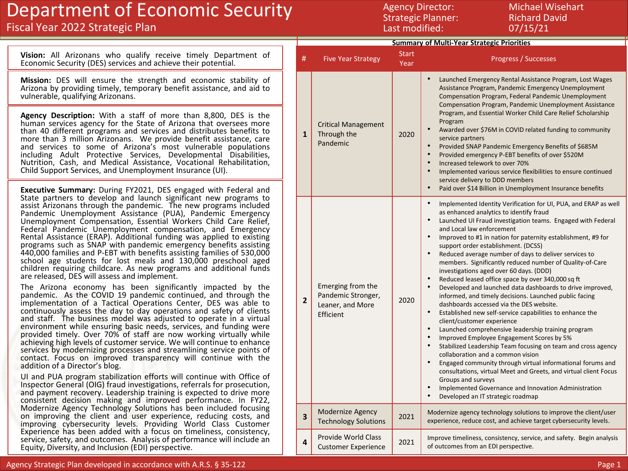## Department of Economic Security

### Fiscal Year 2022 Strategic Plan

Agency Director: Michael Wisehart Strategic Planner: Richard David Last modified: 07/15/21

|                                                                                                                                                                                                                                                                                                                                                                                                                                                                                                                                                                                                                                                                                                                                                                                                               | <b>Summary of Multi-Year Strategic Priorities</b> |                                                                          |               |                                                                                                                                                                                                                                                                                                                                                                                                                                                                                                                                                                                                                                                                                                                                                                                                                                                                                                                                                                                                                                                                                                                                           |
|---------------------------------------------------------------------------------------------------------------------------------------------------------------------------------------------------------------------------------------------------------------------------------------------------------------------------------------------------------------------------------------------------------------------------------------------------------------------------------------------------------------------------------------------------------------------------------------------------------------------------------------------------------------------------------------------------------------------------------------------------------------------------------------------------------------|---------------------------------------------------|--------------------------------------------------------------------------|---------------|-------------------------------------------------------------------------------------------------------------------------------------------------------------------------------------------------------------------------------------------------------------------------------------------------------------------------------------------------------------------------------------------------------------------------------------------------------------------------------------------------------------------------------------------------------------------------------------------------------------------------------------------------------------------------------------------------------------------------------------------------------------------------------------------------------------------------------------------------------------------------------------------------------------------------------------------------------------------------------------------------------------------------------------------------------------------------------------------------------------------------------------------|
| Vision: All Arizonans who qualify receive timely Department of<br>Economic Security (DES) services and achieve their potential.                                                                                                                                                                                                                                                                                                                                                                                                                                                                                                                                                                                                                                                                               | #                                                 | <b>Five Year Strategy</b>                                                | Start<br>Year | Progress / Successes                                                                                                                                                                                                                                                                                                                                                                                                                                                                                                                                                                                                                                                                                                                                                                                                                                                                                                                                                                                                                                                                                                                      |
| Mission: DES will ensure the strength and economic stability of<br>Arizona by providing timely, temporary benefit assistance, and aid to<br>vulnerable, qualifying Arizonans.                                                                                                                                                                                                                                                                                                                                                                                                                                                                                                                                                                                                                                 |                                                   |                                                                          |               | Launched Emergency Rental Assistance Program, Lost Wages<br>Assistance Program, Pandemic Emergency Unemployment<br>Compensation Program, Federal Pandemic Unemployment<br>Compensation Program, Pandemic Unemployment Assistance                                                                                                                                                                                                                                                                                                                                                                                                                                                                                                                                                                                                                                                                                                                                                                                                                                                                                                          |
| Agency Description: With a staff of more than 8,800, DES is the<br>human services agency for the State of Arizona that oversees more<br>than 40 different programs and services and distributes benefits to<br>more than 3 million Arizonans. We provide benefit assistance, care<br>and services to some of Arizona's most vulnerable populations<br>including Adult Protective Services, Developmental Disabilities,<br>Nutrition, Cash, and Medical Assistance, Vocational Rehabilitation,<br>Child Support Services, and Unemployment Insurance (UI).<br><b>Executive Summary:</b> During FY2021, DES engaged with Federal and                                                                                                                                                                            | $\mathbf{1}$                                      | <b>Critical Management</b><br>Through the<br>Pandemic                    | 2020          | Program, and Essential Worker Child Care Relief Scholarship<br>Program<br>Awarded over \$76M in COVID related funding to community<br>service partners<br>Provided SNAP Pandemic Emergency Benefits of \$685M<br>Provided emergency P-EBT benefits of over \$520M<br>Increased telework to over 70%<br>Implemented various service flexibilities to ensure continued<br>service delivery to DDD members<br>Paid over \$14 Billion in Unemployment Insurance benefits                                                                                                                                                                                                                                                                                                                                                                                                                                                                                                                                                                                                                                                                      |
| State partners to develop and launch significant new programs to<br>assist Arizonans through the pandemic. The new programs included<br>Pandemic Unemployment Assistance (PUA), Pandemic Emergency<br>Unemployment Compensation, Essential Workers Child Care Relief,<br>Federal Pandemic Unemployment compensation, and Emergency<br>Rental Assistance (ERAP). Additional funding was applied to existing<br>programs such as SNAP with pandemic emergency benefits assisting<br>440,000 families and P-EBT with benefits assisting families of 530,000<br>school age students for lost meals and 130,000 preschool aged<br>children requiring childcare. As new programs and additional funds<br>are released, DES will assess and implement.<br>The Arizona economy has been significantly impacted by the |                                                   | Emerging from the<br>Pandemic Stronger,<br>Leaner, and More<br>Efficient |               | Implemented Identity Verification for UI, PUA, and ERAP as well<br>as enhanced analytics to identify fraud<br>Launched UI Fraud investigation teams. Engaged with Federal<br>and Local law enforcement<br>Improved to #1 in nation for paternity establishment, #9 for<br>support order establishment. (DCSS)<br>Reduced average number of days to deliver services to<br>members. Significantly reduced number of Quality-of-Care<br>investigations aged over 60 days. (DDD)<br>Reduced leased office space by over 340,000 sq ft<br>Developed and launched data dashboards to drive improved,<br>informed, and timely decisions. Launched public facing<br>dashboards accessed via the DES website.<br>Established new self-service capabilities to enhance the<br>client/customer experience<br>Launched comprehensive leadership training program<br>Improved Employee Engagement Scores by 5%<br>Stabilized Leadership Team focusing on team and cross agency<br>collaboration and a common vision<br>Engaged community through virtual informational forums and<br>consultations, virtual Meet and Greets, and virtual client Focus |
| pandemic. As the COVID 19 pandemic continued, and through the<br>implementation of a Tactical Operations Center, DES was able to<br>continuously assess the day to day operations and safety of clients<br>and staff. The business model was adjusted to operate in a virtual<br>environment while ensuring basic needs, services, and funding were<br>provided timely. Over 70% of staff are now working virtually while<br>achieving high levels of customer service. We will continue to enhance<br>services by modernizing processes and streamlining service points of<br>contact. Focus on improved transparency will continue with the<br>addition of a Director's blog.                                                                                                                               | $\mathbf{2}$                                      |                                                                          | 2020          |                                                                                                                                                                                                                                                                                                                                                                                                                                                                                                                                                                                                                                                                                                                                                                                                                                                                                                                                                                                                                                                                                                                                           |
| UI and PUA program stabilization efforts will continue with Office of<br>Inspector General (OIG) fraud investigations, referrals for prosecution,<br>and payment recovery. Leadership training is expected to drive more<br>consistent decision making and improved performance. In FY22,<br>Modernize Agency Technology Solutions has been included focusing<br>on improving the client and user experience, reducing costs, and<br>improving cybersecurity levels. Providing World Class Customer<br>Experience has been added with a focus on timeliness, consistency,<br>service, safety, and outcomes. Analysis of performance will include an<br>Equity, Diversity, and Inclusion (EDI) perspective.                                                                                                    |                                                   |                                                                          |               | Groups and surveys<br>Implemented Governance and Innovation Administration<br>$\bullet$<br>Developed an IT strategic roadmap                                                                                                                                                                                                                                                                                                                                                                                                                                                                                                                                                                                                                                                                                                                                                                                                                                                                                                                                                                                                              |
|                                                                                                                                                                                                                                                                                                                                                                                                                                                                                                                                                                                                                                                                                                                                                                                                               | $\overline{\mathbf{3}}$                           | Modernize Agency<br><b>Technology Solutions</b>                          | 2021          | Modernize agency technology solutions to improve the client/user<br>experience, reduce cost, and achieve target cybersecurity levels.                                                                                                                                                                                                                                                                                                                                                                                                                                                                                                                                                                                                                                                                                                                                                                                                                                                                                                                                                                                                     |
|                                                                                                                                                                                                                                                                                                                                                                                                                                                                                                                                                                                                                                                                                                                                                                                                               | 4                                                 | Provide World Class<br><b>Customer Experience</b>                        | 2021          | Improve timeliness, consistency, service, and safety. Begin analysis<br>of outcomes from an EDI perspective.                                                                                                                                                                                                                                                                                                                                                                                                                                                                                                                                                                                                                                                                                                                                                                                                                                                                                                                                                                                                                              |